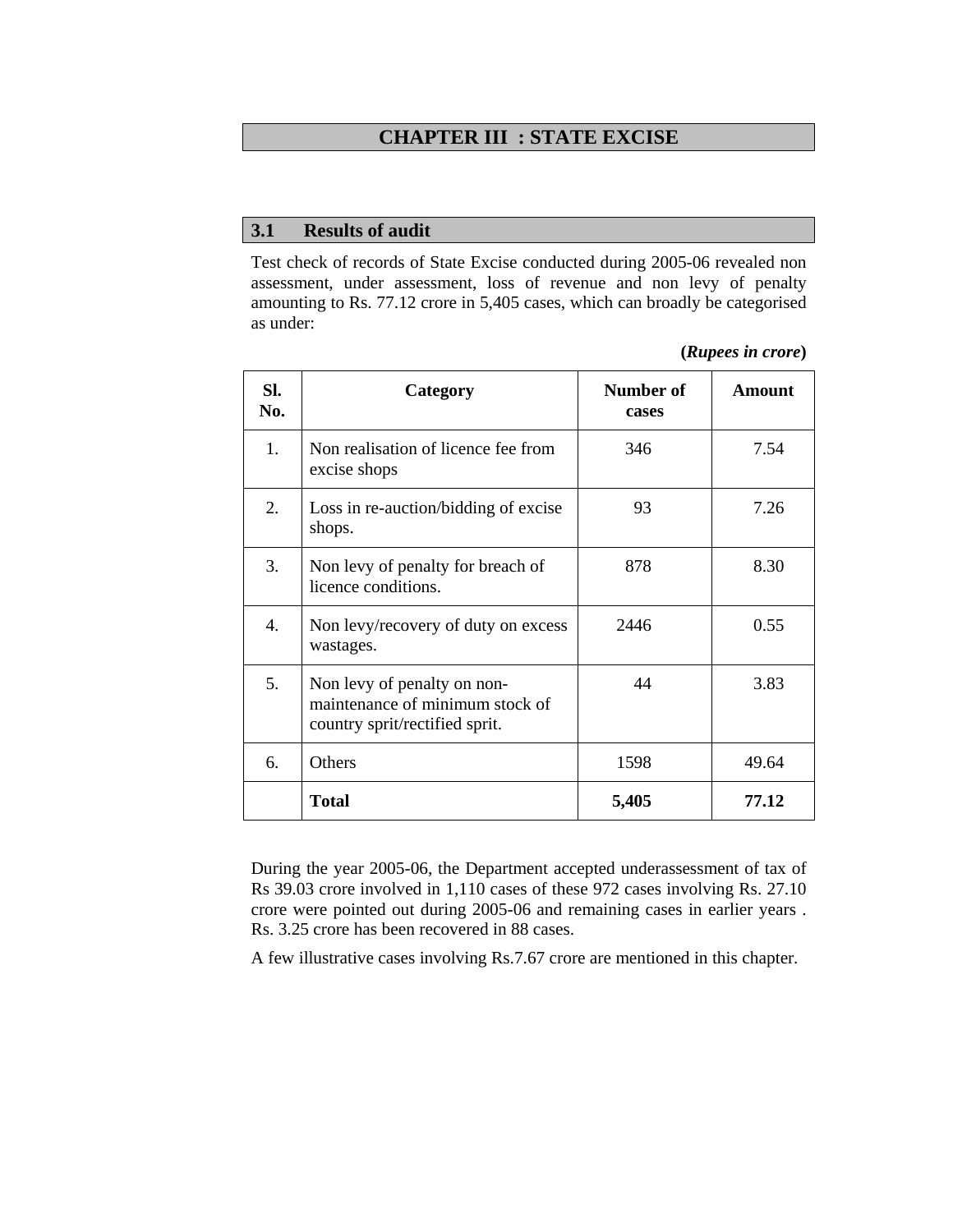#### **CHAPTER III : STATE EXCISE**

#### **3.1 Results of audit**

Test check of records of State Excise conducted during 2005-06 revealed non assessment, under assessment, loss of revenue and non levy of penalty amounting to Rs. 77.12 crore in 5,405 cases, which can broadly be categorised as under:

| SI.<br>No. | Category                                                                                         | Number of<br>cases | <b>Amount</b> |
|------------|--------------------------------------------------------------------------------------------------|--------------------|---------------|
| 1.         | Non realisation of licence fee from<br>excise shops                                              | 346                | 7.54          |
| 2.         | Loss in re-auction/bidding of excise<br>shops.                                                   | 93                 | 7.26          |
| 3.         | Non levy of penalty for breach of<br>licence conditions.                                         | 878                | 8.30          |
| 4.         | Non levy/recovery of duty on excess<br>wastages.                                                 | 2446               | 0.55          |
| 5.         | Non levy of penalty on non-<br>maintenance of minimum stock of<br>country sprit/rectified sprit. | 44                 | 3.83          |
| 6.         | Others                                                                                           | 1598               | 49.64         |
|            | <b>Total</b>                                                                                     | 5,405              | 77.12         |

**(***Rupees in crore***)** 

During the year 2005-06, the Department accepted underassessment of tax of Rs 39.03 crore involved in 1,110 cases of these 972 cases involving Rs. 27.10 crore were pointed out during 2005-06 and remaining cases in earlier years . Rs. 3.25 crore has been recovered in 88 cases.

A few illustrative cases involving Rs.7.67 crore are mentioned in this chapter.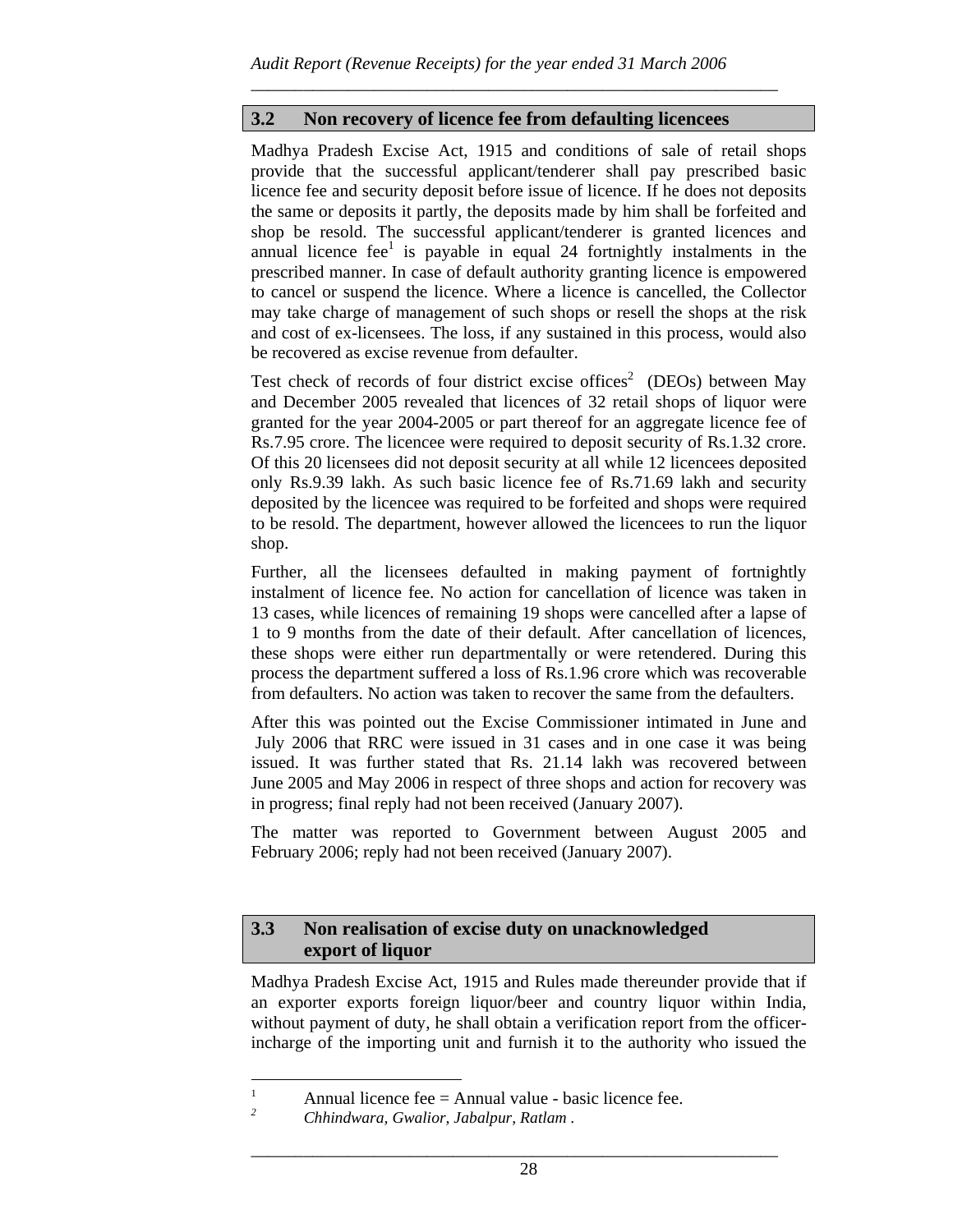# **3.2 Non recovery of licence fee from defaulting licencees**

\_\_\_\_\_\_\_\_\_\_\_\_\_\_\_\_\_\_\_\_\_\_\_\_\_\_\_\_\_\_\_\_\_\_\_\_\_\_\_\_\_\_\_\_\_\_\_\_\_\_\_\_\_\_\_\_\_\_\_\_

Madhya Pradesh Excise Act, 1915 and conditions of sale of retail shops provide that the successful applicant/tenderer shall pay prescribed basic licence fee and security deposit before issue of licence. If he does not deposits the same or deposits it partly, the deposits made by him shall be forfeited and shop be resold. The successful applicant/tenderer is granted licences and annual licence  $fee^1$  is payable in equal 24 fortnightly instalments in the prescribed manner. In case of default authority granting licence is empowered to cancel or suspend the licence. Where a licence is cancelled, the Collector may take charge of management of such shops or resell the shops at the risk and cost of ex-licensees. The loss, if any sustained in this process, would also be recovered as excise revenue from defaulter.

Test check of records of four district excise offices<sup>2</sup> (DEOs) between May and December 2005 revealed that licences of 32 retail shops of liquor were granted for the year 2004-2005 or part thereof for an aggregate licence fee of Rs.7.95 crore. The licencee were required to deposit security of Rs.1.32 crore. Of this 20 licensees did not deposit security at all while 12 licencees deposited only Rs.9.39 lakh. As such basic licence fee of Rs.71.69 lakh and security deposited by the licencee was required to be forfeited and shops were required to be resold. The department, however allowed the licencees to run the liquor shop.

Further, all the licensees defaulted in making payment of fortnightly instalment of licence fee. No action for cancellation of licence was taken in 13 cases, while licences of remaining 19 shops were cancelled after a lapse of 1 to 9 months from the date of their default. After cancellation of licences, these shops were either run departmentally or were retendered. During this process the department suffered a loss of Rs.1.96 crore which was recoverable from defaulters. No action was taken to recover the same from the defaulters.

After this was pointed out the Excise Commissioner intimated in June and July 2006 that RRC were issued in 31 cases and in one case it was being issued. It was further stated that Rs. 21.14 lakh was recovered between June 2005 and May 2006 in respect of three shops and action for recovery was in progress; final reply had not been received (January 2007).

The matter was reported to Government between August 2005 and February 2006; reply had not been received (January 2007).

## **3.3 Non realisation of excise duty on unacknowledged export of liquor**

Madhya Pradesh Excise Act, 1915 and Rules made thereunder provide that if an exporter exports foreign liquor/beer and country liquor within India, without payment of duty, he shall obtain a verification report from the officerincharge of the importing unit and furnish it to the authority who issued the

\_\_\_\_\_\_\_\_\_\_\_\_\_\_\_\_\_\_\_\_\_\_\_\_\_\_\_\_\_\_\_\_\_\_\_\_\_\_\_\_\_\_\_\_\_\_\_\_\_\_\_\_\_\_\_\_\_\_\_\_

 $\frac{1}{1}$  $\frac{1}{2}$  Annual licence fee = Annual value - basic licence fee.

*Chhindwara, Gwalior, Jabalpur, Ratlam .*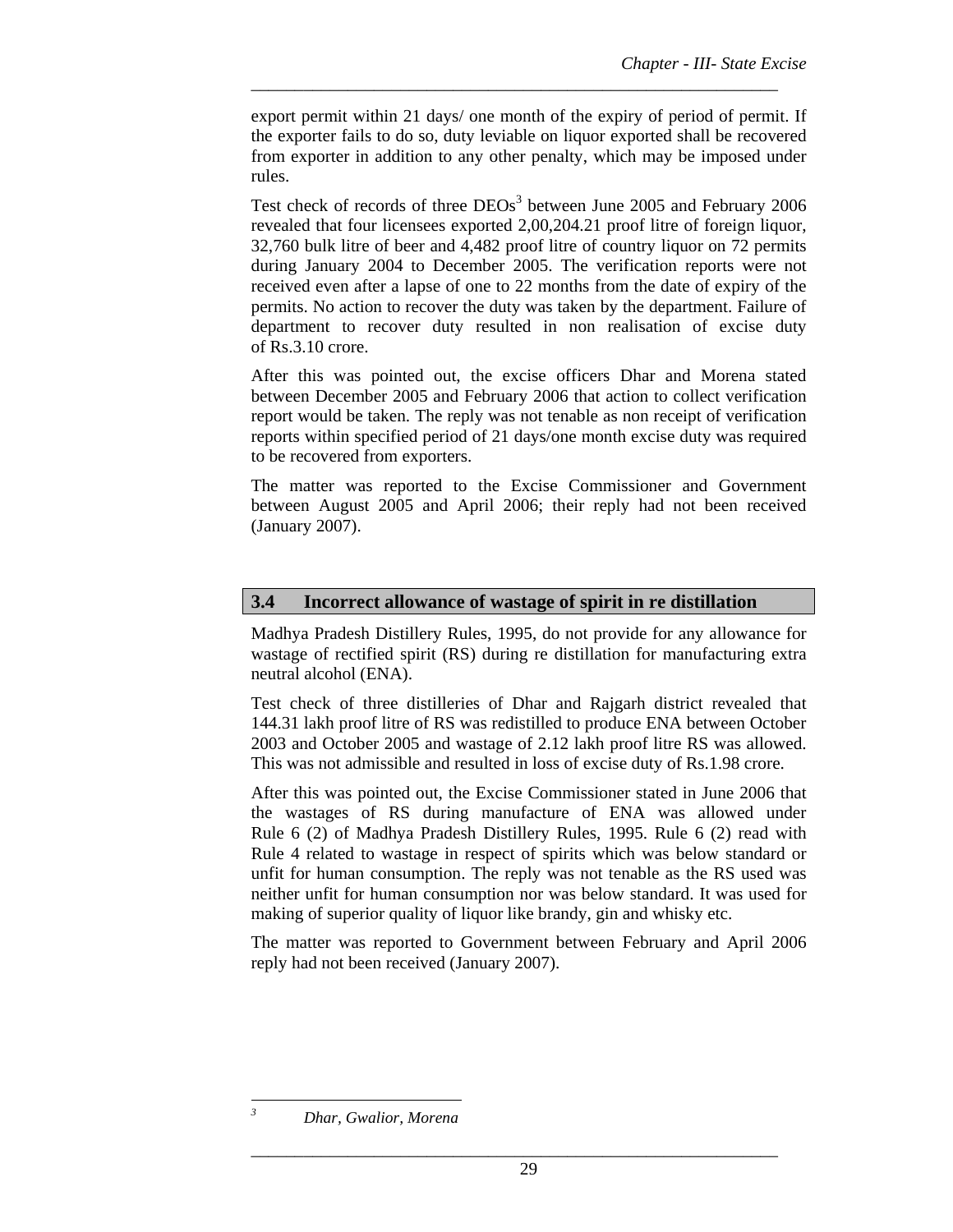export permit within 21 days/ one month of the expiry of period of permit. If the exporter fails to do so, duty leviable on liquor exported shall be recovered from exporter in addition to any other penalty, which may be imposed under rules.

\_\_\_\_\_\_\_\_\_\_\_\_\_\_\_\_\_\_\_\_\_\_\_\_\_\_\_\_\_\_\_\_\_\_\_\_\_\_\_\_\_\_\_\_\_\_\_\_\_\_\_\_\_\_\_\_\_\_\_\_

Test check of records of three DEOs<sup>3</sup> between June 2005 and February 2006 revealed that four licensees exported 2,00,204.21 proof litre of foreign liquor, 32,760 bulk litre of beer and 4,482 proof litre of country liquor on 72 permits during January 2004 to December 2005. The verification reports were not received even after a lapse of one to 22 months from the date of expiry of the permits. No action to recover the duty was taken by the department. Failure of department to recover duty resulted in non realisation of excise duty of Rs.3.10 crore.

After this was pointed out, the excise officers Dhar and Morena stated between December 2005 and February 2006 that action to collect verification report would be taken. The reply was not tenable as non receipt of verification reports within specified period of 21 days/one month excise duty was required to be recovered from exporters.

The matter was reported to the Excise Commissioner and Government between August 2005 and April 2006; their reply had not been received (January 2007).

## **3.4 Incorrect allowance of wastage of spirit in re distillation**

Madhya Pradesh Distillery Rules, 1995, do not provide for any allowance for wastage of rectified spirit (RS) during re distillation for manufacturing extra neutral alcohol (ENA).

Test check of three distilleries of Dhar and Rajgarh district revealed that 144.31 lakh proof litre of RS was redistilled to produce ENA between October 2003 and October 2005 and wastage of 2.12 lakh proof litre RS was allowed. This was not admissible and resulted in loss of excise duty of Rs.1.98 crore.

After this was pointed out, the Excise Commissioner stated in June 2006 that the wastages of RS during manufacture of ENA was allowed under Rule 6 (2) of Madhya Pradesh Distillery Rules, 1995. Rule 6 (2) read with Rule 4 related to wastage in respect of spirits which was below standard or unfit for human consumption. The reply was not tenable as the RS used was neither unfit for human consumption nor was below standard. It was used for making of superior quality of liquor like brandy, gin and whisky etc.

The matter was reported to Government between February and April 2006 reply had not been received (January 2007).

l *3*

\_\_\_\_\_\_\_\_\_\_\_\_\_\_\_\_\_\_\_\_\_\_\_\_\_\_\_\_\_\_\_\_\_\_\_\_\_\_\_\_\_\_\_\_\_\_\_\_\_\_\_\_\_\_\_\_\_\_\_\_

*Dhar, Gwalior, Morena*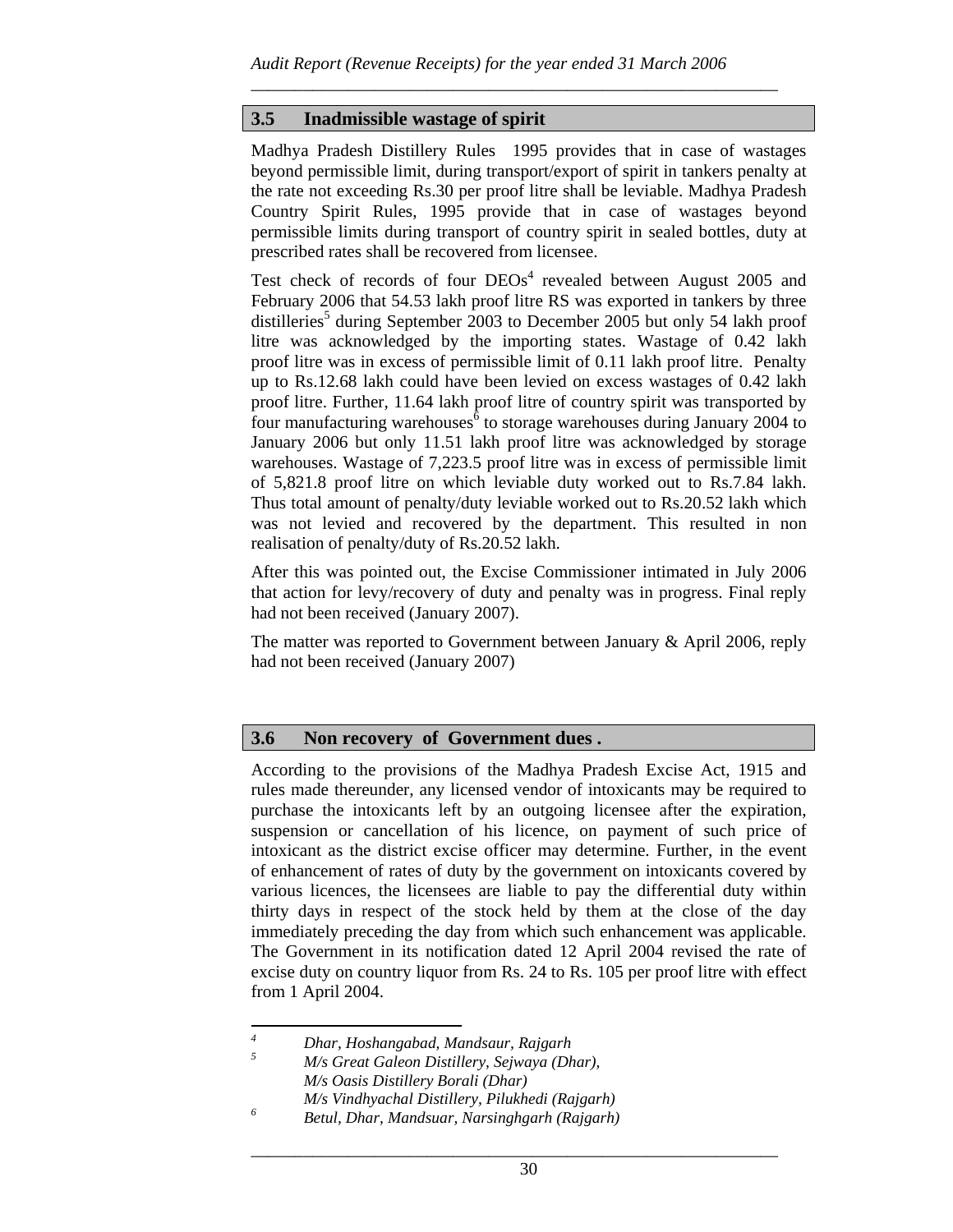\_\_\_\_\_\_\_\_\_\_\_\_\_\_\_\_\_\_\_\_\_\_\_\_\_\_\_\_\_\_\_\_\_\_\_\_\_\_\_\_\_\_\_\_\_\_\_\_\_\_\_\_\_\_\_\_\_\_\_\_

## **3.5 Inadmissible wastage of spirit**

Madhya Pradesh Distillery Rules 1995 provides that in case of wastages beyond permissible limit, during transport/export of spirit in tankers penalty at the rate not exceeding Rs.30 per proof litre shall be leviable. Madhya Pradesh Country Spirit Rules, 1995 provide that in case of wastages beyond permissible limits during transport of country spirit in sealed bottles, duty at prescribed rates shall be recovered from licensee.

Test check of records of four  $DEOs<sup>4</sup>$  revealed between August 2005 and February 2006 that 54.53 lakh proof litre RS was exported in tankers by three distilleries<sup>5</sup> during September 2003 to December 2005 but only 54 lakh proof litre was acknowledged by the importing states. Wastage of 0.42 lakh proof litre was in excess of permissible limit of 0.11 lakh proof litre. Penalty up to Rs.12.68 lakh could have been levied on excess wastages of 0.42 lakh proof litre. Further, 11.64 lakh proof litre of country spirit was transported by four manufacturing warehouses  $\delta$  to storage warehouses during January 2004 to January 2006 but only 11.51 lakh proof litre was acknowledged by storage warehouses. Wastage of 7,223.5 proof litre was in excess of permissible limit of 5,821.8 proof litre on which leviable duty worked out to Rs.7.84 lakh. Thus total amount of penalty/duty leviable worked out to Rs.20.52 lakh which was not levied and recovered by the department. This resulted in non realisation of penalty/duty of Rs.20.52 lakh.

After this was pointed out, the Excise Commissioner intimated in July 2006 that action for levy/recovery of duty and penalty was in progress. Final reply had not been received (January 2007).

The matter was reported to Government between January & April 2006, reply had not been received (January 2007)

## **3.6 Non recovery of Government dues .**

According to the provisions of the Madhya Pradesh Excise Act, 1915 and rules made thereunder, any licensed vendor of intoxicants may be required to purchase the intoxicants left by an outgoing licensee after the expiration, suspension or cancellation of his licence, on payment of such price of intoxicant as the district excise officer may determine. Further, in the event of enhancement of rates of duty by the government on intoxicants covered by various licences, the licensees are liable to pay the differential duty within thirty days in respect of the stock held by them at the close of the day immediately preceding the day from which such enhancement was applicable. The Government in its notification dated 12 April 2004 revised the rate of excise duty on country liquor from Rs. 24 to Rs. 105 per proof litre with effect from 1 April 2004.

 *4 Dhar, Hoshangabad, Mandsaur, Rajgarh* 

*<sup>5</sup> M/s Great Galeon Distillery, Sejwaya (Dhar), M/s Oasis Distillery Borali (Dhar) M/s Vindhyachal Distillery, Pilukhedi (Rajgarh)* 

*<sup>6</sup> Betul, Dhar, Mandsuar, Narsinghgarh (Rajgarh)*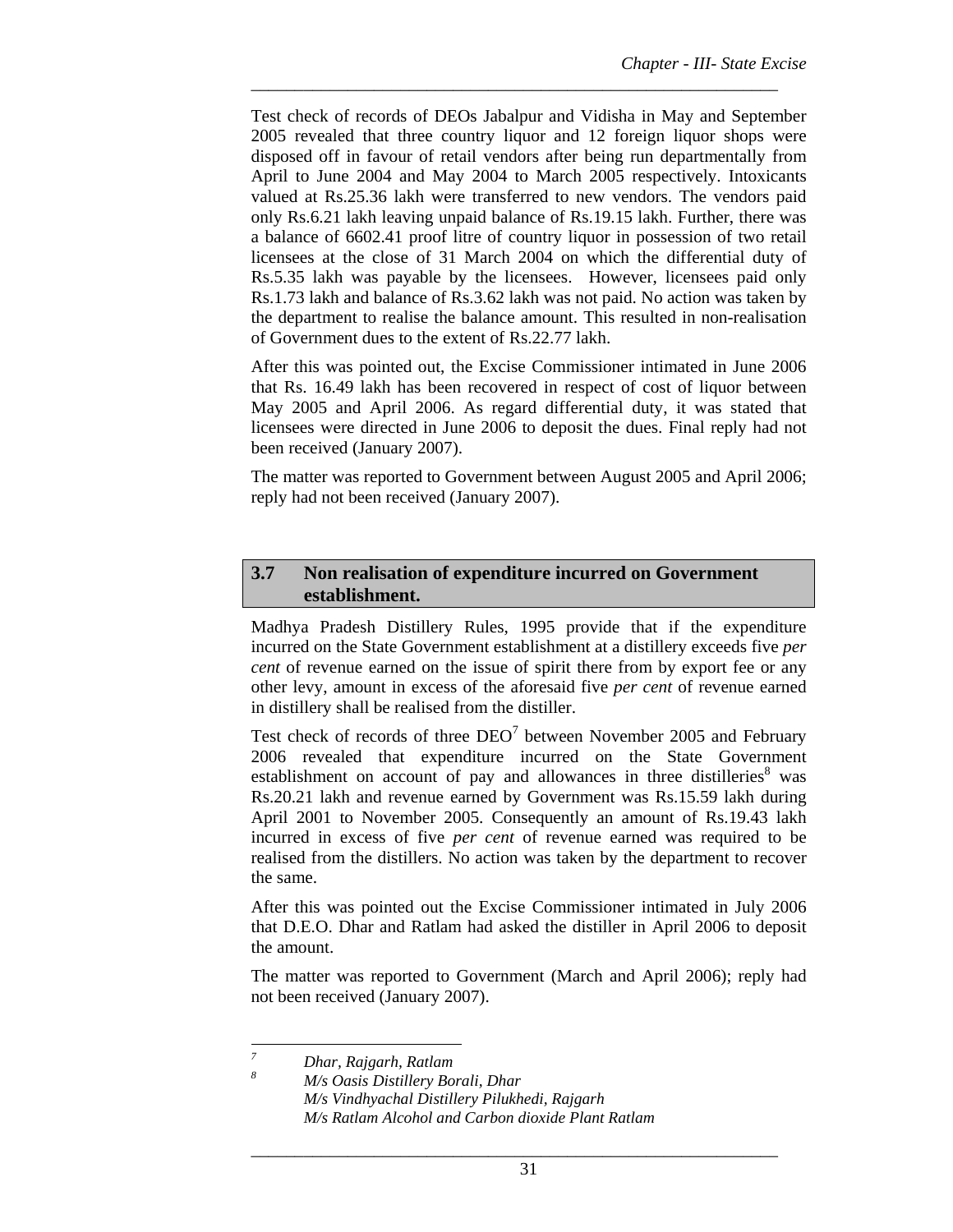Test check of records of DEOs Jabalpur and Vidisha in May and September 2005 revealed that three country liquor and 12 foreign liquor shops were disposed off in favour of retail vendors after being run departmentally from April to June 2004 and May 2004 to March 2005 respectively. Intoxicants valued at Rs.25.36 lakh were transferred to new vendors. The vendors paid only Rs.6.21 lakh leaving unpaid balance of Rs.19.15 lakh. Further, there was a balance of 6602.41 proof litre of country liquor in possession of two retail licensees at the close of 31 March 2004 on which the differential duty of Rs.5.35 lakh was payable by the licensees. However, licensees paid only Rs.1.73 lakh and balance of Rs.3.62 lakh was not paid. No action was taken by the department to realise the balance amount. This resulted in non-realisation of Government dues to the extent of Rs.22.77 lakh.

\_\_\_\_\_\_\_\_\_\_\_\_\_\_\_\_\_\_\_\_\_\_\_\_\_\_\_\_\_\_\_\_\_\_\_\_\_\_\_\_\_\_\_\_\_\_\_\_\_\_\_\_\_\_\_\_\_\_\_\_

After this was pointed out, the Excise Commissioner intimated in June 2006 that Rs. 16.49 lakh has been recovered in respect of cost of liquor between May 2005 and April 2006. As regard differential duty, it was stated that licensees were directed in June 2006 to deposit the dues. Final reply had not been received (January 2007).

The matter was reported to Government between August 2005 and April 2006; reply had not been received (January 2007).

## **3.7 Non realisation of expenditure incurred on Government establishment.**

Madhya Pradesh Distillery Rules, 1995 provide that if the expenditure incurred on the State Government establishment at a distillery exceeds five *per cent* of revenue earned on the issue of spirit there from by export fee or any other levy, amount in excess of the aforesaid five *per cent* of revenue earned in distillery shall be realised from the distiller.

Test check of records of three  $DEO<sup>7</sup>$  between November 2005 and February 2006 revealed that expenditure incurred on the State Government establishment on account of pay and allowances in three distilleries $8$  was Rs.20.21 lakh and revenue earned by Government was Rs.15.59 lakh during April 2001 to November 2005. Consequently an amount of Rs.19.43 lakh incurred in excess of five *per cent* of revenue earned was required to be realised from the distillers. No action was taken by the department to recover the same.

After this was pointed out the Excise Commissioner intimated in July 2006 that D.E.O. Dhar and Ratlam had asked the distiller in April 2006 to deposit the amount.

The matter was reported to Government (March and April 2006); reply had not been received (January 2007).

\_\_\_\_\_\_\_\_\_\_\_\_\_\_\_\_\_\_\_\_\_\_\_\_\_\_\_\_\_\_\_\_\_\_\_\_\_\_\_\_\_\_\_\_\_\_\_\_\_\_\_\_\_\_\_\_\_\_\_\_

 *7 Dhar, Rajgarh, Ratlam 8*

*M/s Oasis Distillery Borali, Dhar M/s Vindhyachal Distillery Pilukhedi, Rajgarh M/s Ratlam Alcohol and Carbon dioxide Plant Ratlam*